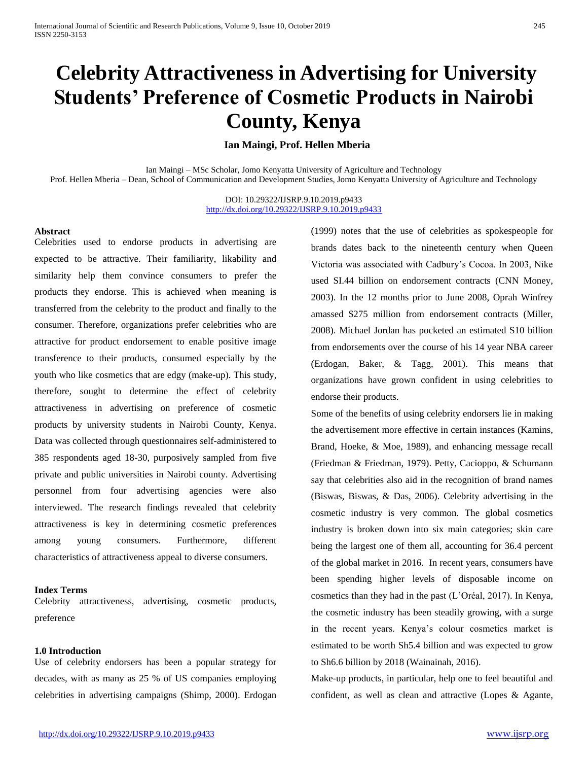# **Celebrity Attractiveness in Advertising for University Students' Preference of Cosmetic Products in Nairobi County, Kenya**

# **Ian Maingi, Prof. Hellen Mberia**

Ian Maingi – MSc Scholar, Jomo Kenyatta University of Agriculture and Technology Prof. Hellen Mberia – Dean, School of Communication and Development Studies, Jomo Kenyatta University of Agriculture and Technology

> DOI: 10.29322/IJSRP.9.10.2019.p9433 <http://dx.doi.org/10.29322/IJSRP.9.10.2019.p9433>

## **Abstract**

Celebrities used to endorse products in advertising are expected to be attractive. Their familiarity, likability and similarity help them convince consumers to prefer the products they endorse. This is achieved when meaning is transferred from the celebrity to the product and finally to the consumer. Therefore, organizations prefer celebrities who are attractive for product endorsement to enable positive image transference to their products, consumed especially by the youth who like cosmetics that are edgy (make-up). This study, therefore, sought to determine the effect of celebrity attractiveness in advertising on preference of cosmetic products by university students in Nairobi County, Kenya. Data was collected through questionnaires self-administered to 385 respondents aged 18-30, purposively sampled from five private and public universities in Nairobi county. Advertising personnel from four advertising agencies were also interviewed. The research findings revealed that celebrity attractiveness is key in determining cosmetic preferences among young consumers. Furthermore, different characteristics of attractiveness appeal to diverse consumers.

## **Index Terms**

Celebrity attractiveness, advertising, cosmetic products, preference

#### **1.0 Introduction**

Use of celebrity endorsers has been a popular strategy for decades, with as many as 25 % of US companies employing celebrities in advertising campaigns (Shimp, 2000). Erdogan

(1999) notes that the use of celebrities as spokespeople for brands dates back to the nineteenth century when Queen Victoria was associated with Cadbury's Cocoa. In 2003, Nike used SI.44 billion on endorsement contracts (CNN Money, 2003). In the 12 months prior to June 2008, Oprah Winfrey amassed \$275 million from endorsement contracts (Miller, 2008). Michael Jordan has pocketed an estimated S10 billion from endorsements over the course of his 14 year NBA career (Erdogan, Baker, & Tagg, 2001). This means that organizations have grown confident in using celebrities to endorse their products.

Some of the benefits of using celebrity endorsers lie in making the advertisement more effective in certain instances (Kamins, Brand, Hoeke, & Moe, 1989), and enhancing message recall (Friedman & Friedman, 1979). Petty, Cacioppo, & Schumann say that celebrities also aid in the recognition of brand names (Biswas, Biswas, & Das, 2006). Celebrity advertising in the cosmetic industry is very common. The global cosmetics industry is broken down into six main categories; skin care being the largest one of them all, accounting for 36.4 percent of the global market in 2016. In recent years, consumers have been spending higher levels of disposable income on cosmetics than they had in the past (L'Oréal, 2017). In Kenya, the cosmetic industry has been steadily growing, with a surge in the recent years. Kenya's colour cosmetics market is estimated to be worth Sh5.4 billion and was expected to grow to Sh6.6 billion by 2018 (Wainainah, 2016).

Make-up products, in particular, help one to feel beautiful and confident, as well as clean and attractive (Lopes & Agante,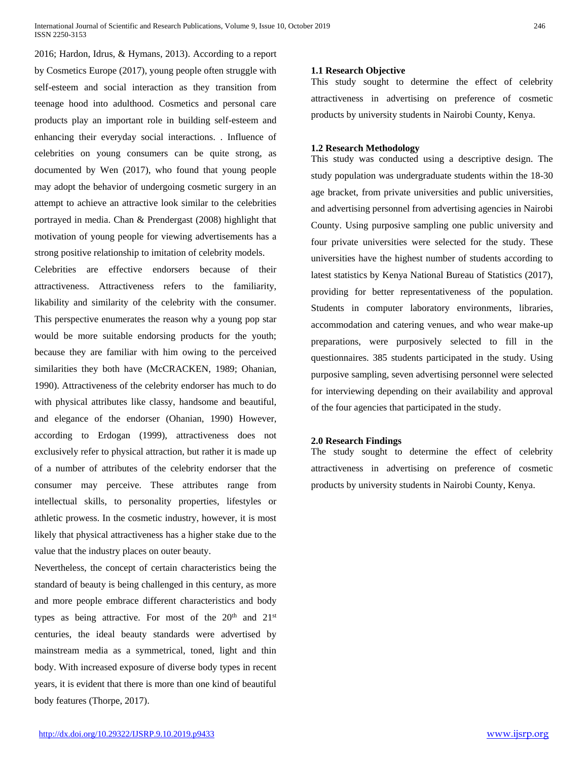2016; Hardon, Idrus, & Hymans, 2013). According to a report by Cosmetics Europe (2017), young people often struggle with self-esteem and social interaction as they transition from teenage hood into adulthood. Cosmetics and personal care products play an important role in building self-esteem and enhancing their everyday social interactions. . Influence of celebrities on young consumers can be quite strong, as documented by Wen (2017), who found that young people may adopt the behavior of undergoing cosmetic surgery in an attempt to achieve an attractive look similar to the celebrities portrayed in media. Chan & Prendergast (2008) highlight that motivation of young people for viewing advertisements has a strong positive relationship to imitation of celebrity models.

Celebrities are effective endorsers because of their attractiveness. Attractiveness refers to the familiarity, likability and similarity of the celebrity with the consumer. This perspective enumerates the reason why a young pop star would be more suitable endorsing products for the youth; because they are familiar with him owing to the perceived similarities they both have (McCRACKEN, 1989; Ohanian, 1990). Attractiveness of the celebrity endorser has much to do with physical attributes like classy, handsome and beautiful, and elegance of the endorser (Ohanian, 1990) However, according to Erdogan (1999), attractiveness does not exclusively refer to physical attraction, but rather it is made up of a number of attributes of the celebrity endorser that the consumer may perceive. These attributes range from intellectual skills, to personality properties, lifestyles or athletic prowess. In the cosmetic industry, however, it is most likely that physical attractiveness has a higher stake due to the value that the industry places on outer beauty.

Nevertheless, the concept of certain characteristics being the standard of beauty is being challenged in this century, as more and more people embrace different characteristics and body types as being attractive. For most of the  $20<sup>th</sup>$  and  $21<sup>st</sup>$ centuries, the ideal beauty standards were advertised by mainstream media as a symmetrical, toned, light and thin body. With increased exposure of diverse body types in recent years, it is evident that there is more than one kind of beautiful body features (Thorpe, 2017).

# **1.1 Research Objective**

This study sought to determine the effect of celebrity attractiveness in advertising on preference of cosmetic products by university students in Nairobi County, Kenya.

# **1.2 Research Methodology**

This study was conducted using a descriptive design. The study population was undergraduate students within the 18-30 age bracket, from private universities and public universities, and advertising personnel from advertising agencies in Nairobi County. Using purposive sampling one public university and four private universities were selected for the study. These universities have the highest number of students according to latest statistics by Kenya National Bureau of Statistics (2017), providing for better representativeness of the population. Students in computer laboratory environments, libraries, accommodation and catering venues, and who wear make-up preparations, were purposively selected to fill in the questionnaires. 385 students participated in the study. Using purposive sampling, seven advertising personnel were selected for interviewing depending on their availability and approval of the four agencies that participated in the study.

## **2.0 Research Findings**

The study sought to determine the effect of celebrity attractiveness in advertising on preference of cosmetic products by university students in Nairobi County, Kenya.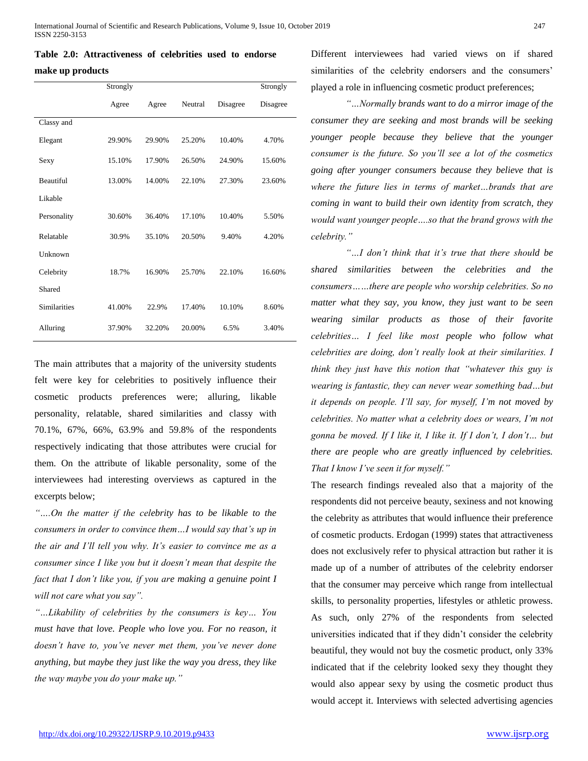|  | Table 2.0: Attractiveness of celebrities used to endorse |  |  |  |
|--|----------------------------------------------------------|--|--|--|
|  |                                                          |  |  |  |

#### **make up products**

|                     | Strongly |        |         |          | Strongly |
|---------------------|----------|--------|---------|----------|----------|
|                     | Agree    | Agree  | Neutral | Disagree | Disagree |
| Classy and          |          |        |         |          |          |
| Elegant             | 29.90%   | 29.90% | 25.20%  | 10.40%   | 4.70%    |
| Sexy                | 15.10%   | 17.90% | 26.50%  | 24.90%   | 15.60%   |
| <b>Beautiful</b>    | 13.00%   | 14.00% | 22.10%  | 27.30%   | 23.60%   |
| Likable             |          |        |         |          |          |
| Personality         | 30.60%   | 36.40% | 17.10%  | 10.40%   | 5.50%    |
| Relatable           | 30.9%    | 35.10% | 20.50%  | 9.40%    | 4.20%    |
| Unknown             |          |        |         |          |          |
| Celebrity           | 18.7%    | 16.90% | 25.70%  | 22.10%   | 16.60%   |
| Shared              |          |        |         |          |          |
| <b>Similarities</b> | 41.00%   | 22.9%  | 17.40%  | 10.10%   | 8.60%    |
| Alluring            | 37.90%   | 32.20% | 20.00%  | 6.5%     | 3.40%    |

The main attributes that a majority of the university students felt were key for celebrities to positively influence their cosmetic products preferences were; alluring, likable personality, relatable, shared similarities and classy with 70.1%, 67%, 66%, 63.9% and 59.8% of the respondents respectively indicating that those attributes were crucial for them. On the attribute of likable personality, some of the interviewees had interesting overviews as captured in the excerpts below;

*"….On the matter if the celebrity has to be likable to the consumers in order to convince them…I would say that's up in the air and I'll tell you why. It's easier to convince me as a consumer since I like you but it doesn't mean that despite the fact that I don't like you, if you are making a genuine point I will not care what you say".*

*"…Likability of celebrities by the consumers is key… You must have that love. People who love you. For no reason, it doesn't have to, you've never met them, you've never done anything, but maybe they just like the way you dress, they like the way maybe you do your make up."*

Different interviewees had varied views on if shared similarities of the celebrity endorsers and the consumers' played a role in influencing cosmetic product preferences;

*"…Normally brands want to do a mirror image of the consumer they are seeking and most brands will be seeking younger people because they believe that the younger consumer is the future. So you'll see a lot of the cosmetics going after younger consumers because they believe that is where the future lies in terms of market…brands that are coming in want to build their own identity from scratch, they would want younger people….so that the brand grows with the celebrity."*

*"…I don't think that it's true that there should be shared similarities between the celebrities and the consumers……there are people who worship celebrities. So no matter what they say, you know, they just want to be seen wearing similar products as those of their favorite celebrities… I feel like most people who follow what celebrities are doing, don't really look at their similarities. I think they just have this notion that "whatever this guy is wearing is fantastic, they can never wear something bad…but it depends on people. I'll say, for myself, I'm not moved by celebrities. No matter what a celebrity does or wears, I'm not gonna be moved. If I like it, I like it. If I don't, I don't… but there are people who are greatly influenced by celebrities. That I know I've seen it for myself."*

The research findings revealed also that a majority of the respondents did not perceive beauty, sexiness and not knowing the celebrity as attributes that would influence their preference of cosmetic products. Erdogan (1999) states that attractiveness does not exclusively refer to physical attraction but rather it is made up of a number of attributes of the celebrity endorser that the consumer may perceive which range from intellectual skills, to personality properties, lifestyles or athletic prowess. As such, only 27% of the respondents from selected universities indicated that if they didn't consider the celebrity beautiful, they would not buy the cosmetic product, only 33% indicated that if the celebrity looked sexy they thought they would also appear sexy by using the cosmetic product thus would accept it. Interviews with selected advertising agencies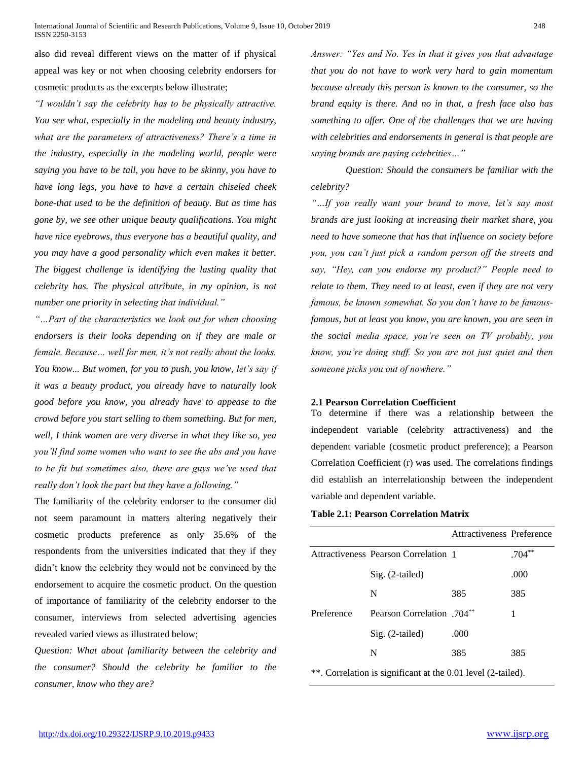also did reveal different views on the matter of if physical appeal was key or not when choosing celebrity endorsers for cosmetic products as the excerpts below illustrate;

*"I wouldn't say the celebrity has to be physically attractive. You see what, especially in the modeling and beauty industry, what are the parameters of attractiveness? There's a time in the industry, especially in the modeling world, people were saying you have to be tall, you have to be skinny, you have to have long legs, you have to have a certain chiseled cheek bone-that used to be the definition of beauty. But as time has gone by, we see other unique beauty qualifications. You might have nice eyebrows, thus everyone has a beautiful quality, and you may have a good personality which even makes it better. The biggest challenge is identifying the lasting quality that celebrity has. The physical attribute, in my opinion, is not number one priority in selecting that individual."*

*"…Part of the characteristics we look out for when choosing endorsers is their looks depending on if they are male or female. Because… well for men, it's not really about the looks. You know... But women, for you to push, you know, let's say if it was a beauty product, you already have to naturally look good before you know, you already have to appease to the crowd before you start selling to them something. But for men, well, I think women are very diverse in what they like so, yea you'll find some women who want to see the abs and you have to be fit but sometimes also, there are guys we've used that really don't look the part but they have a following."*

The familiarity of the celebrity endorser to the consumer did not seem paramount in matters altering negatively their cosmetic products preference as only 35.6% of the respondents from the universities indicated that they if they didn't know the celebrity they would not be convinced by the endorsement to acquire the cosmetic product. On the question of importance of familiarity of the celebrity endorser to the consumer, interviews from selected advertising agencies revealed varied views as illustrated below;

*Question: What about familiarity between the celebrity and the consumer? Should the celebrity be familiar to the consumer, know who they are?*

*Answer: "Yes and No. Yes in that it gives you that advantage that you do not have to work very hard to gain momentum because already this person is known to the consumer, so the brand equity is there. And no in that, a fresh face also has something to offer. One of the challenges that we are having with celebrities and endorsements in general is that people are saying brands are paying celebrities…"*

*Question: Should the consumers be familiar with the celebrity?*

*"…If you really want your brand to move, let's say most brands are just looking at increasing their market share, you need to have someone that has that influence on society before you, you can't just pick a random person off the streets and say, "Hey, can you endorse my product?" People need to relate to them. They need to at least, even if they are not very famous, be known somewhat. So you don't have to be famousfamous, but at least you know, you are known, you are seen in the social media space, you're seen on TV probably, you know, you're doing stuff. So you are not just quiet and then someone picks you out of nowhere."*

## **2.1 Pearson Correlation Coefficient**

To determine if there was a relationship between the independent variable (celebrity attractiveness) and the dependent variable (cosmetic product preference); a Pearson Correlation Coefficient (r) was used. The correlations findings did establish an interrelationship between the independent variable and dependent variable.

# **Table 2.1: Pearson Correlation Matrix**

|            |                                               | Attractiveness Preference |          |
|------------|-----------------------------------------------|---------------------------|----------|
|            | Attractiveness Pearson Correlation 1          |                           | $.704**$ |
|            | $Sig. (2-tailed)$                             |                           | .000     |
|            | N                                             | 385                       | 385      |
| Preference | <b>Pearson Correlation</b> .704 <sup>**</sup> |                           | 1        |
|            | $Sig. (2-tailed)$                             | .000                      |          |
|            | N                                             | 385                       | 385      |
|            |                                               |                           |          |

\*\*. Correlation is significant at the 0.01 level (2-tailed).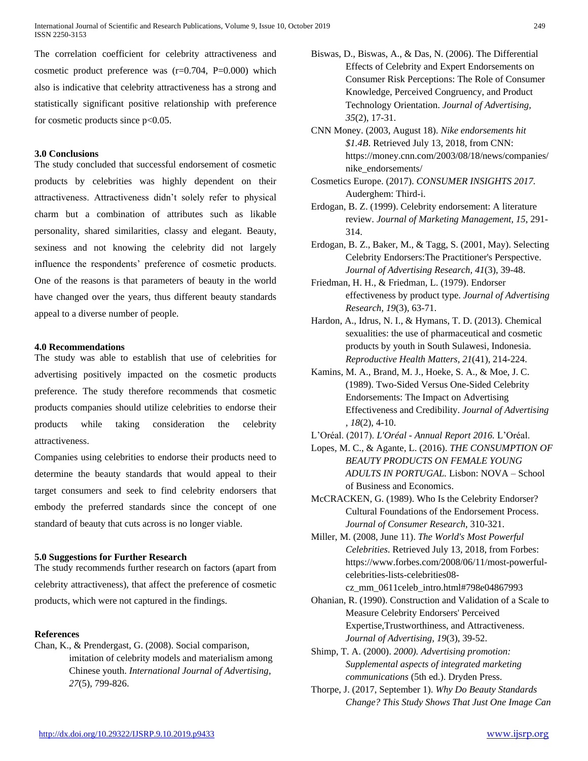The correlation coefficient for celebrity attractiveness and cosmetic product preference was  $(r=0.704, P=0.000)$  which also is indicative that celebrity attractiveness has a strong and statistically significant positive relationship with preference for cosmetic products since  $p<0.05$ .

## **3.0 Conclusions**

The study concluded that successful endorsement of cosmetic products by celebrities was highly dependent on their attractiveness. Attractiveness didn't solely refer to physical charm but a combination of attributes such as likable personality, shared similarities, classy and elegant. Beauty, sexiness and not knowing the celebrity did not largely influence the respondents' preference of cosmetic products. One of the reasons is that parameters of beauty in the world have changed over the years, thus different beauty standards appeal to a diverse number of people.

#### **4.0 Recommendations**

The study was able to establish that use of celebrities for advertising positively impacted on the cosmetic products preference. The study therefore recommends that cosmetic products companies should utilize celebrities to endorse their products while taking consideration the celebrity attractiveness.

Companies using celebrities to endorse their products need to determine the beauty standards that would appeal to their target consumers and seek to find celebrity endorsers that embody the preferred standards since the concept of one standard of beauty that cuts across is no longer viable.

#### **5.0 Suggestions for Further Research**

The study recommends further research on factors (apart from celebrity attractiveness), that affect the preference of cosmetic products, which were not captured in the findings.

# **References**

Chan, K., & Prendergast, G. (2008). Social comparison, imitation of celebrity models and materialism among Chinese youth. *International Journal of Advertising, 27*(5), 799-826.

- Biswas, D., Biswas, A., & Das, N. (2006). The Differential Effects of Celebrity and Expert Endorsements on Consumer Risk Perceptions: The Role of Consumer Knowledge, Perceived Congruency, and Product Technology Orientation. *Journal of Advertising, 35*(2), 17-31.
- CNN Money. (2003, August 18). *Nike endorsements hit \$1.4B*. Retrieved July 13, 2018, from CNN: https://money.cnn.com/2003/08/18/news/companies/ nike\_endorsements/
- Cosmetics Europe. (2017). *CONSUMER INSIGHTS 2017.* Auderghem: Third-i.
- Erdogan, B. Z. (1999). Celebrity endorsement: A literature review. *Journal of Marketing Management, 15*, 291- 314.
- Erdogan, B. Z., Baker, M., & Tagg, S. (2001, May). Selecting Celebrity Endorsers:The Practitioner's Perspective. *Journal of Advertising Research, 41*(3), 39-48.
- Friedman, H. H., & Friedman, L. (1979). Endorser effectiveness by product type. *Journal of Advertising Research, 19*(3), 63-71.
- Hardon, A., Idrus, N. I., & Hymans, T. D. (2013). Chemical sexualities: the use of pharmaceutical and cosmetic products by youth in South Sulawesi, Indonesia. *Reproductive Health Matters, 21*(41), 214-224.
- Kamins, M. A., Brand, M. J., Hoeke, S. A., & Moe, J. C. (1989). Two-Sided Versus One-Sided Celebrity Endorsements: The Impact on Advertising Effectiveness and Credibility. *Journal of Advertising , 18*(2), 4-10.
- L'Oréal. (2017). *L'Oréal - Annual Report 2016.* L'Oréal.
- Lopes, M. C., & Agante, L. (2016). *THE CONSUMPTION OF BEAUTY PRODUCTS ON FEMALE YOUNG ADULTS IN PORTUGAL.* Lisbon: NOVA – School of Business and Economics.
- McCRACKEN, G. (1989). Who Is the Celebrity Endorser? Cultural Foundations of the Endorsement Process. *Journal of Consumer Research*, 310-321.
- Miller, M. (2008, June 11). *The World's Most Powerful Celebrities*. Retrieved July 13, 2018, from Forbes: https://www.forbes.com/2008/06/11/most-powerfulcelebrities-lists-celebrities08-

cz\_mm\_0611celeb\_intro.html#798e04867993

- Ohanian, R. (1990). Construction and Validation of a Scale to Measure Celebrity Endorsers' Perceived Expertise,Trustworthiness, and Attractiveness. *Journal of Advertising, 19*(3), 39-52.
- Shimp, T. A. (2000). *2000). Advertising promotion: Supplemental aspects of integrated marketing communications* (5th ed.). Dryden Press.
- Thorpe, J. (2017, September 1). *Why Do Beauty Standards Change? This Study Shows That Just One Image Can*